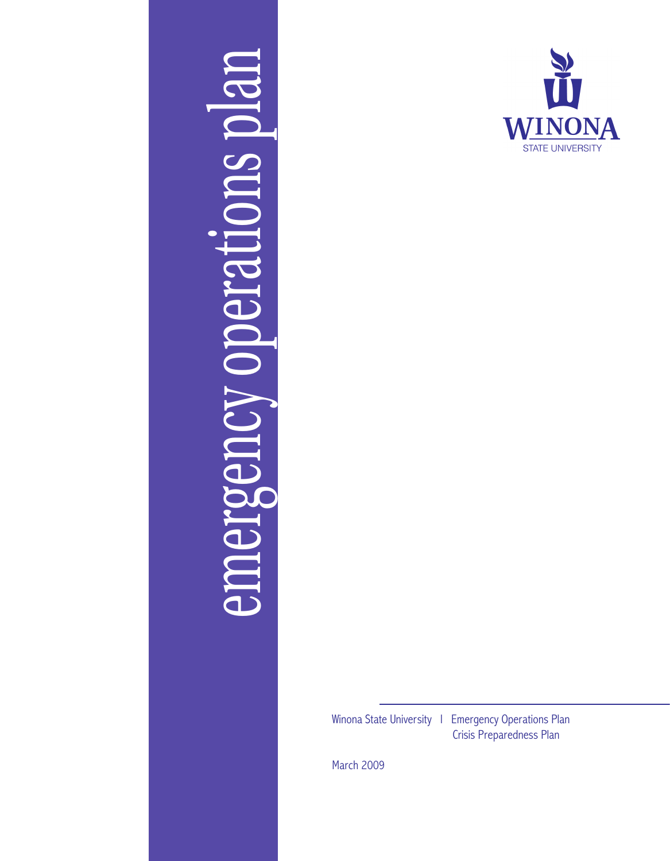



Winona State University | Emergency Operations Plan

Crisis Preparedness Plan

March 2009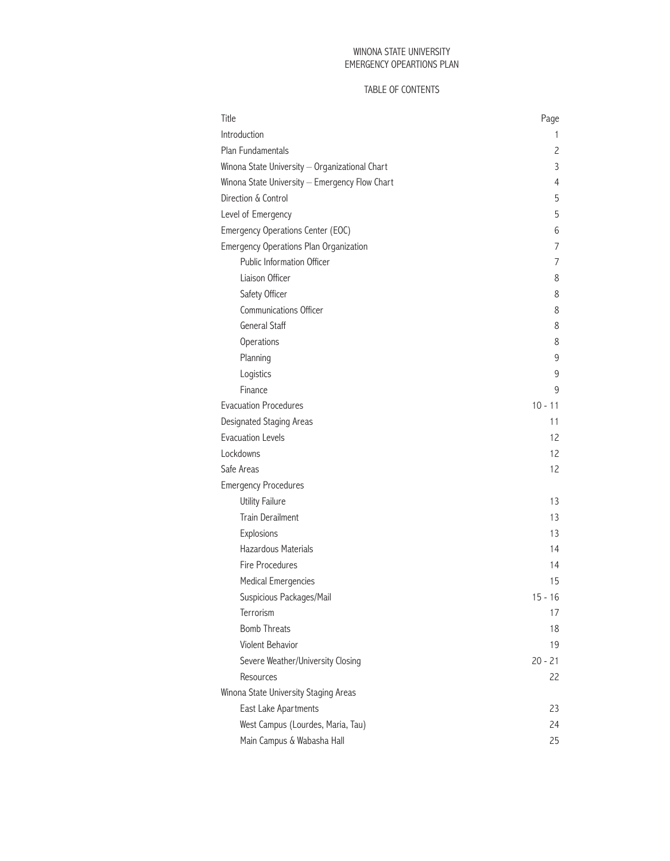## WINONA STATE UNIVERSITY EMERGENCY OPEARTIONS PLAN

## TABLE OF CONTENTS

| Title                                          | Page      |
|------------------------------------------------|-----------|
| Introduction                                   | 1         |
| <b>Plan Fundamentals</b>                       | 2         |
| Winona State University - Organizational Chart | 3         |
| Winona State University - Emergency Flow Chart | 4         |
| Direction & Control                            | 5         |
| Level of Emergency                             | 5         |
| Emergency Operations Center (EOC)              | 6         |
| <b>Emergency Operations Plan Organization</b>  | 7         |
| Public Information Officer                     | 7         |
| Liaison Officer                                | 8         |
| Safety Officer                                 | 8         |
| Communications Officer                         | 8         |
| <b>General Staff</b>                           | 8         |
| Operations                                     | 8         |
| Planning                                       | 9         |
| Logistics                                      | 9         |
| Finance                                        | 9         |
| <b>Evacuation Procedures</b>                   | $10 - 11$ |
| Designated Staging Areas                       | 11        |
| <b>Evacuation Levels</b>                       | 12        |
| Lockdowns                                      | 12        |
| Safe Areas                                     | 12        |
| <b>Emergency Procedures</b>                    |           |
| <b>Utility Failure</b>                         | 13        |
| Train Derailment                               | 13        |
| Explosions                                     | 13        |
| Hazardous Materials                            | 14        |
| Fire Procedures                                | 14        |
| <b>Medical Emergencies</b>                     | 15        |
| Suspicious Packages/Mail                       | $15 - 16$ |
| Terrorism                                      | 17        |
| <b>Bomb Threats</b>                            | 18        |
| Violent Behavior                               | 19        |
| Severe Weather/University Closing              | $20 - 21$ |
| Resources                                      | 22        |
| Winona State University Staging Areas          |           |
| East Lake Apartments                           | 23        |
| West Campus (Lourdes, Maria, Tau)              | 24        |
| Main Campus & Wabasha Hall                     | 25        |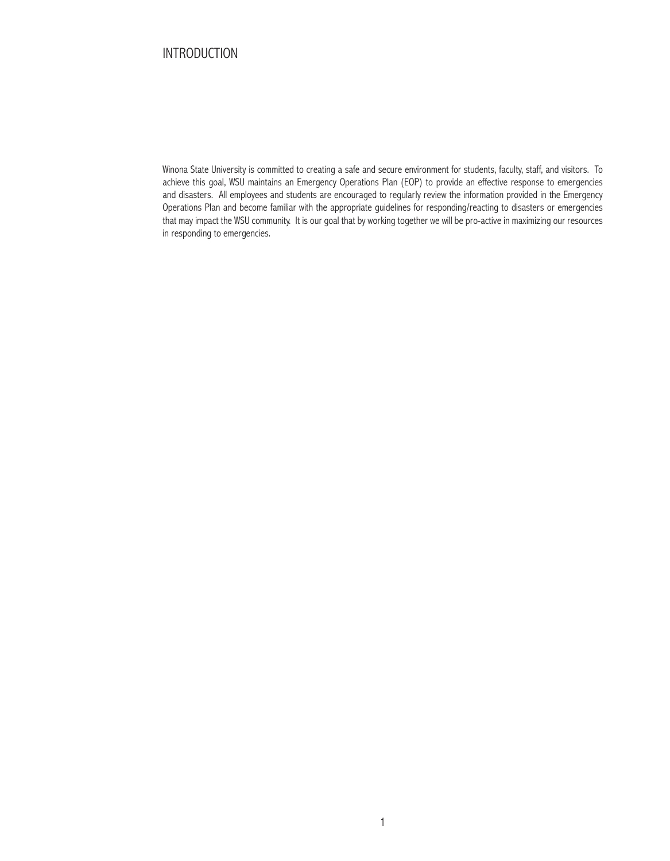# INTRODUCTION

Winona State University is committed to creating a safe and secure environment for students, faculty, staff, and visitors. To achieve this goal, WSU maintains an Emergency Operations Plan (EOP) to provide an effective response to emergencies and disasters. All employees and students are encouraged to regularly review the information provided in the Emergency Operations Plan and become familiar with the appropriate guidelines for responding/reacting to disasters or emergencies that may impact the WSU community. It is our goal that by working together we will be pro-active in maximizing our resources in responding to emergencies.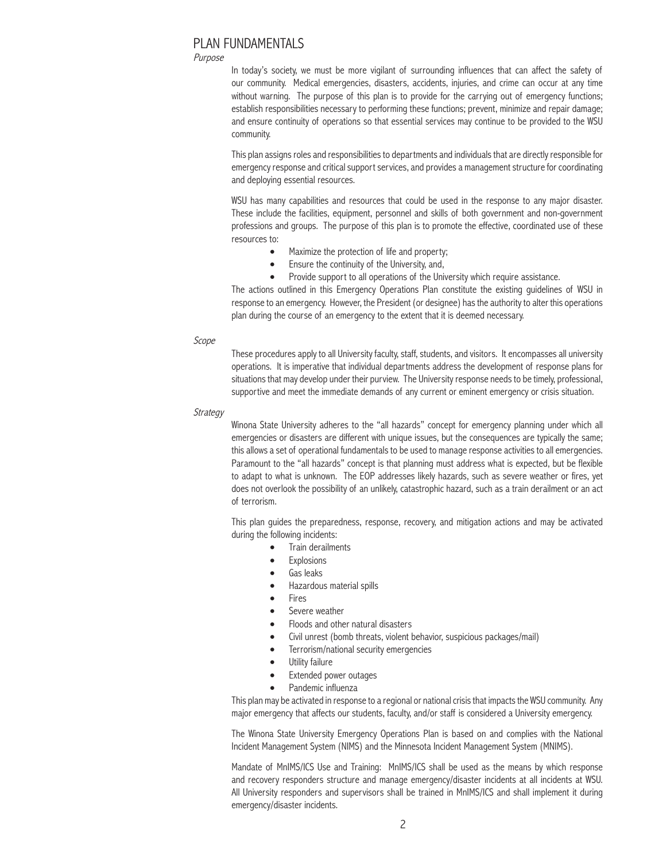# Plan Fundamentals

#### Purpose

In today's society, we must be more vigilant of surrounding influences that can affect the safety of our community. Medical emergencies, disasters, accidents, injuries, and crime can occur at any time without warning. The purpose of this plan is to provide for the carrying out of emergency functions; establish responsibilities necessary to performing these functions; prevent, minimize and repair damage; and ensure continuity of operations so that essential services may continue to be provided to the WSU community.

This plan assigns roles and responsibilities to departments and individuals that are directly responsible for emergency response and critical support services, and provides a management structure for coordinating and deploying essential resources.

WSU has many capabilities and resources that could be used in the response to any major disaster. These include the facilities, equipment, personnel and skills of both government and non-government professions and groups. The purpose of this plan is to promote the effective, coordinated use of these resources to:

- Maximize the protection of life and property;
- Ensure the continuity of the University, and,
- Provide support to all operations of the University which require assistance.

The actions outlined in this Emergency Operations Plan constitute the existing guidelines of WSU in response to an emergency. However, the President (or designee) has the authority to alter this operations plan during the course of an emergency to the extent that it is deemed necessary.

### Scope

These procedures apply to all University faculty, staff, students, and visitors. It encompasses all university operations. It is imperative that individual departments address the development of response plans for situations that may develop under their purview. The University response needs to be timely, professional, supportive and meet the immediate demands of any current or eminent emergency or crisis situation.

### **Strategy**

Winona State University adheres to the "all hazards" concept for emergency planning under which all emergencies or disasters are different with unique issues, but the consequences are typically the same; this allows a set of operational fundamentals to be used to manage response activities to all emergencies. Paramount to the "all hazards" concept is that planning must address what is expected, but be flexible to adapt to what is unknown. The EOP addresses likely hazards, such as severe weather or fires, yet does not overlook the possibility of an unlikely, catastrophic hazard, such as a train derailment or an act of terrorism.

This plan guides the preparedness, response, recovery, and mitigation actions and may be activated during the following incidents:

- Train derailments
- **Explosions**
- Gas leaks
- Hazardous material spills
- **Fires**
- Severe weather
- Floods and other natural disasters
- Civil unrest (bomb threats, violent behavior, suspicious packages/mail)
- Terrorism/national security emergencies
- Utility failure
- Extended power outages
- Pandemic influenza

This plan may be activated in response to a regional or national crisis that impacts the WSU community. Any major emergency that affects our students, faculty, and/or staff is considered a University emergency.

The Winona State University Emergency Operations Plan is based on and complies with the National Incident Management System (NIMS) and the Minnesota Incident Management System (MNIMS).

Mandate of MnIMS/ICS Use and Training: MnIMS/ICS shall be used as the means by which response and recovery responders structure and manage emergency/disaster incidents at all incidents at WSU. All University responders and supervisors shall be trained in MnIMS/ICS and shall implement it during emergency/disaster incidents.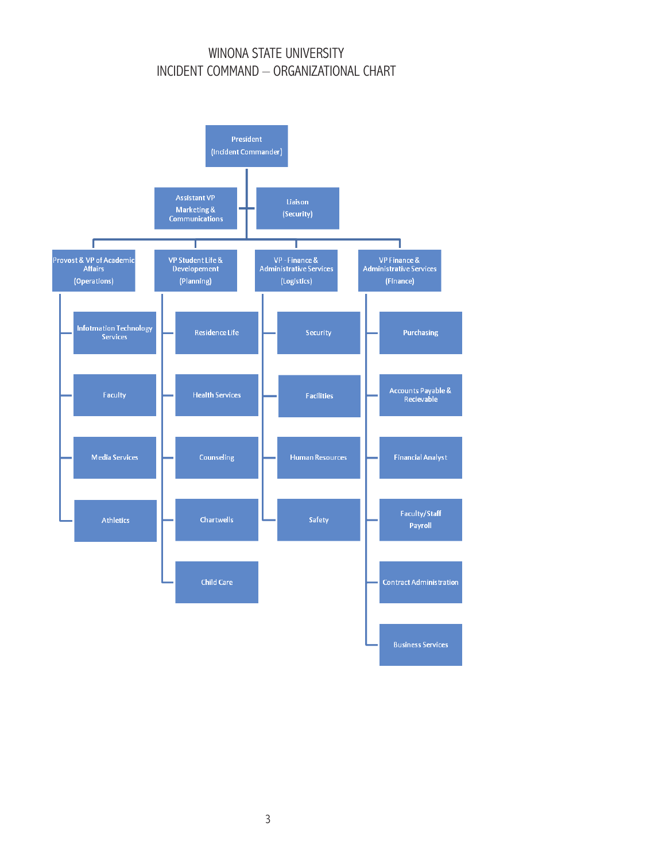# WINONA STATE UNIVERSITY INCIDENT COMMAND – ORGANIZATIONAL CHART

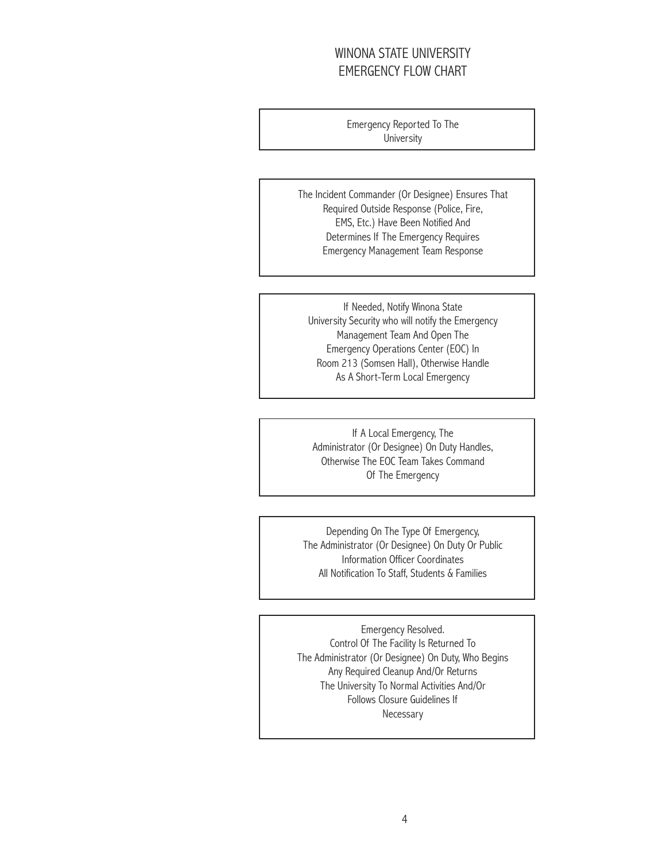# WINONA STATE UNIVERSITY EMERGENCY FLOW CHART

Emergency Reported To The **University** 

The Incident Commander (Or Designee) Ensures That Required Outside Response (Police, Fire, EMS, Etc.) Have Been Notified And Determines If The Emergency Requires Emergency Management Team Response

If Needed, Notify Winona State University Security who will notify the Emergency Management Team And Open The Emergency Operations Center (EOC) In Room 213 (Somsen Hall), Otherwise Handle As A Short-Term Local Emergency

If A Local Emergency, The Administrator (Or Designee) On Duty Handles, Otherwise The EOC Team Takes Command Of The Emergency

Depending On The Type Of Emergency, The Administrator (Or Designee) On Duty Or Public Information Officer Coordinates All Notification To Staff, Students & Families

Emergency Resolved. Control Of The Facility Is Returned To The Administrator (Or Designee) On Duty, Who Begins Any Required Cleanup And/Or Returns The University To Normal Activities And/Or Follows Closure Guidelines If Necessary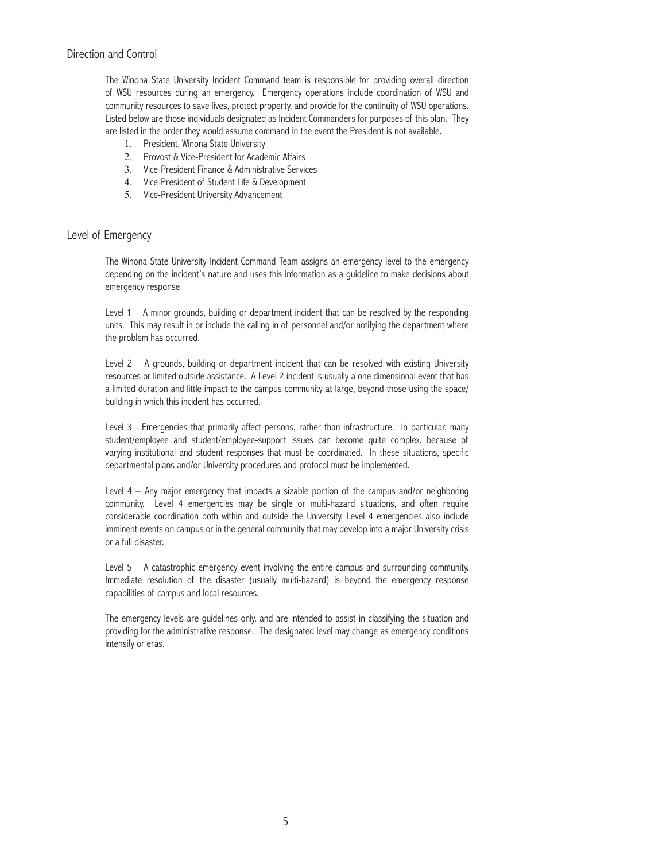The Winona State University Incident Command team is responsible for providing overall direction of WSU resources during an emergency. Emergency operations include coordination of WSU and community resources to save lives, protect property, and provide for the continuity of WSU operations. Listed below are those individuals designated as Incident Commanders for purposes of this plan. They are listed in the order they would assume command in the event the President is not available.

- 1. President, Winona State University
- 2. Provost & Vice-President for Academic Affairs
- 3. Vice-President Finance & Administrative Services
- 4. Vice-President of Student Life & Development
- 5. Vice-President University Advancement

## Level of Emergency

The Winona State University Incident Command Team assigns an emergency level to the emergency depending on the incident's nature and uses this information as a guideline to make decisions about emergency response.

Level  $1 - A$  minor grounds, building or department incident that can be resolved by the responding units. This may result in or include the calling in of personnel and/or notifying the department where the problem has occurred.

Level  $2 - A$  grounds, building or department incident that can be resolved with existing University resources or limited outside assistance. A Level 2 incident is usually a one dimensional event that has a limited duration and little impact to the campus community at large, beyond those using the space/ building in which this incident has occurred.

Level 3 - Emergencies that primarily affect persons, rather than infrastructure. In particular, many student/employee and student/employee-support issues can become quite complex, because of varying institutional and student responses that must be coordinated. In these situations, specific departmental plans and/or University procedures and protocol must be implemented.

Level  $4 -$  Any major emergency that impacts a sizable portion of the campus and/or neighboring community. Level 4 emergencies may be single or multi-hazard situations, and often require considerable coordination both within and outside the University. Level 4 emergencies also include imminent events on campus or in the general community that may develop into a major University crisis or a full disaster.

Level  $5 - A$  catastrophic emergency event involving the entire campus and surrounding community. Immediate resolution of the disaster (usually multi-hazard) is beyond the emergency response capabilities of campus and local resources.

The emergency levels are guidelines only, and are intended to assist in classifying the situation and providing for the administrative response. The designated level may change as emergency conditions intensify or eras.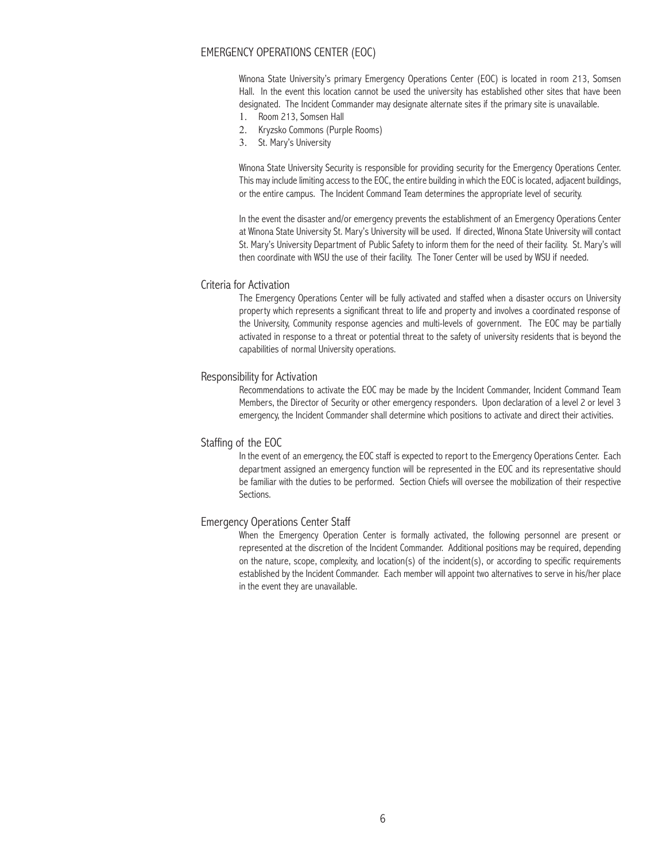## Emergency Operations Center (EOC)

Winona State University's primary Emergency Operations Center (EOC) is located in room 213, Somsen Hall. In the event this location cannot be used the university has established other sites that have been designated. The Incident Commander may designate alternate sites if the primary site is unavailable.

- 1. Room 213, Somsen Hall
- 2. Kryzsko Commons (Purple Rooms)
- 3. St. Mary's University

Winona State University Security is responsible for providing security for the Emergency Operations Center. This may include limiting access to the EOC, the entire building in which the EOC is located, adjacent buildings, or the entire campus. The Incident Command Team determines the appropriate level of security.

In the event the disaster and/or emergency prevents the establishment of an Emergency Operations Center at Winona State University St. Mary's University will be used. If directed, Winona State University will contact St. Mary's University Department of Public Safety to inform them for the need of their facility. St. Mary's will then coordinate with WSU the use of their facility. The Toner Center will be used by WSU if needed.

#### Criteria for Activation

The Emergency Operations Center will be fully activated and staffed when a disaster occurs on University property which represents a significant threat to life and property and involves a coordinated response of the University, Community response agencies and multi-levels of government. The EOC may be partially activated in response to a threat or potential threat to the safety of university residents that is beyond the capabilities of normal University operations.

#### Responsibility for Activation

Recommendations to activate the EOC may be made by the Incident Commander, Incident Command Team Members, the Director of Security or other emergency responders. Upon declaration of a level 2 or level 3 emergency, the Incident Commander shall determine which positions to activate and direct their activities.

## Staffing of the EOC

In the event of an emergency, the EOC staff is expected to report to the Emergency Operations Center. Each department assigned an emergency function will be represented in the EOC and its representative should be familiar with the duties to be performed. Section Chiefs will oversee the mobilization of their respective Sections.

#### Emergency Operations Center Staff

When the Emergency Operation Center is formally activated, the following personnel are present or represented at the discretion of the Incident Commander. Additional positions may be required, depending on the nature, scope, complexity, and location(s) of the incident(s), or according to specific requirements established by the Incident Commander. Each member will appoint two alternatives to serve in his/her place in the event they are unavailable.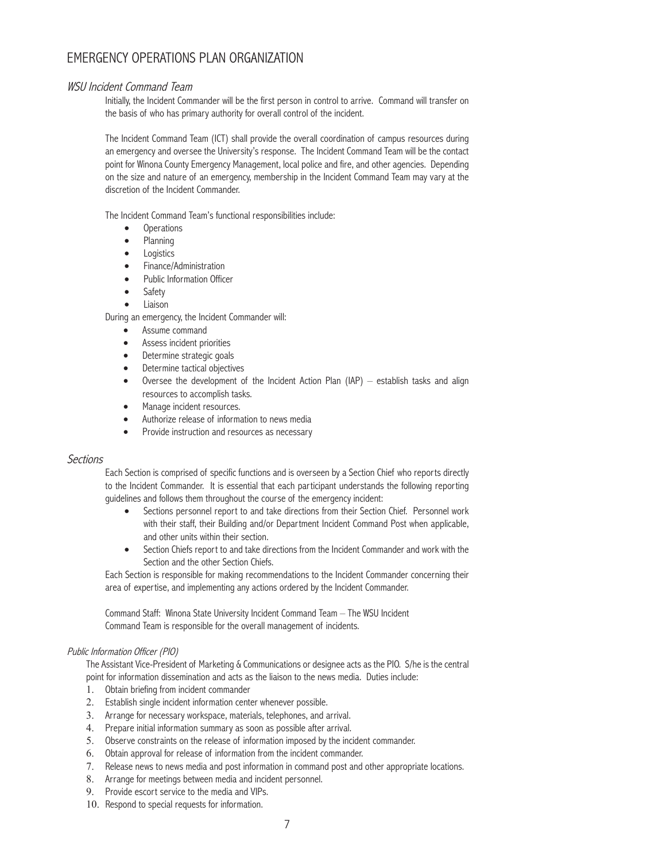# Emergency Operations Plan Organization

## WSU Incident Command Team

Initially, the Incident Commander will be the first person in control to arrive. Command will transfer on the basis of who has primary authority for overall control of the incident.

The Incident Command Team (ICT) shall provide the overall coordination of campus resources during an emergency and oversee the University's response. The Incident Command Team will be the contact point for Winona County Emergency Management, local police and fire, and other agencies. Depending on the size and nature of an emergency, membership in the Incident Command Team may vary at the discretion of the Incident Commander.

The Incident Command Team's functional responsibilities include:

- • Operations
- **Planning**
- Logistics
- Finance/Administration
- Public Information Officer
- **Safety**
- Liaison

During an emergency, the Incident Commander will:

- Assume command
- Assess incident priorities
- Determine strategic goals
- Determine tactical objectives
- Oversee the development of the Incident Action Plan (IAP) establish tasks and align resources to accomplish tasks.
- Manage incident resources.
- Authorize release of information to news media
- Provide instruction and resources as necessary

## **Sections**

Each Section is comprised of specific functions and is overseen by a Section Chief who reports directly to the Incident Commander. It is essential that each participant understands the following reporting guidelines and follows them throughout the course of the emergency incident:

- Sections personnel report to and take directions from their Section Chief. Personnel work with their staff, their Building and/or Department Incident Command Post when applicable, and other units within their section.
- Section Chiefs report to and take directions from the Incident Commander and work with the Section and the other Section Chiefs.

Each Section is responsible for making recommendations to the Incident Commander concerning their area of expertise, and implementing any actions ordered by the Incident Commander.

Command Staff: Winona State University Incident Command Team – The WSU Incident Command Team is responsible for the overall management of incidents.

## Public Information Officer (PIO)

The Assistant Vice-President of Marketing & Communications or designee acts as the PIO. S/he is the central point for information dissemination and acts as the liaison to the news media. Duties include:

- 1. Obtain briefing from incident commander
- 2. Establish single incident information center whenever possible.
- 3. Arrange for necessary workspace, materials, telephones, and arrival.
- 4. Prepare initial information summary as soon as possible after arrival.
- 5. Observe constraints on the release of information imposed by the incident commander.
- 6. Obtain approval for release of information from the incident commander.
- 7. Release news to news media and post information in command post and other appropriate locations.
- 8. Arrange for meetings between media and incident personnel.
- 9. Provide escort service to the media and VIPs.
- 10. Respond to special requests for information.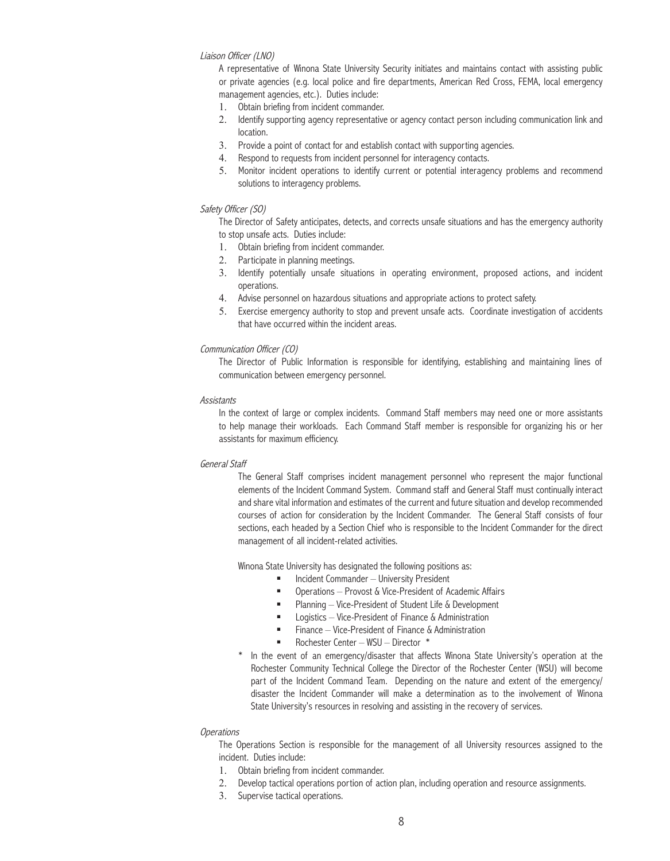### Liaison Officer (LNO)

A representative of Winona State University Security initiates and maintains contact with assisting public or private agencies (e.g. local police and fire departments, American Red Cross, FEMA, local emergency management agencies, etc.). Duties include:

- 1. Obtain briefing from incident commander.
- 2. Identify supporting agency representative or agency contact person including communication link and location.
- 3. Provide a point of contact for and establish contact with supporting agencies.
- 4. Respond to requests from incident personnel for interagency contacts.
- 5. Monitor incident operations to identify current or potential interagency problems and recommend solutions to interagency problems.

#### Safety Officer (SO)

The Director of Safety anticipates, detects, and corrects unsafe situations and has the emergency authority to stop unsafe acts. Duties include:

- 1. Obtain briefing from incident commander.
- 2. Participate in planning meetings.
- 3. Identify potentially unsafe situations in operating environment, proposed actions, and incident operations.
- 4. Advise personnel on hazardous situations and appropriate actions to protect safety.
- 5. Exercise emergency authority to stop and prevent unsafe acts. Coordinate investigation of accidents that have occurred within the incident areas.

#### Communication Officer (CO)

The Director of Public Information is responsible for identifying, establishing and maintaining lines of communication between emergency personnel.

#### **Assistants**

In the context of large or complex incidents. Command Staff members may need one or more assistants to help manage their workloads. Each Command Staff member is responsible for organizing his or her assistants for maximum efficiency.

#### General Staff

The General Staff comprises incident management personnel who represent the major functional elements of the Incident Command System. Command staff and General Staff must continually interact and share vital information and estimates of the current and future situation and develop recommended courses of action for consideration by the Incident Commander. The General Staff consists of four sections, each headed by a Section Chief who is responsible to the Incident Commander for the direct management of all incident-related activities.

Winona State University has designated the following positions as:

- **Incident Commander University President**
- Operations Provost & Vice-President of Academic Affairs
- Planning Vice-President of Student Life & Development
- **EXEC** Logistics Vice-President of Finance & Administration
- $\blacksquare$  Finance Vice-President of Finance & Administration
- Rochester Center WSU Director \*
- In the event of an emergency/disaster that affects Winona State University's operation at the Rochester Community Technical College the Director of the Rochester Center (WSU) will become part of the Incident Command Team. Depending on the nature and extent of the emergency/ disaster the Incident Commander will make a determination as to the involvement of Winona State University's resources in resolving and assisting in the recovery of services.

#### **Operations**

The Operations Section is responsible for the management of all University resources assigned to the incident. Duties include:

- 1. Obtain briefing from incident commander.
- 2. Develop tactical operations portion of action plan, including operation and resource assignments.
- 3. Supervise tactical operations.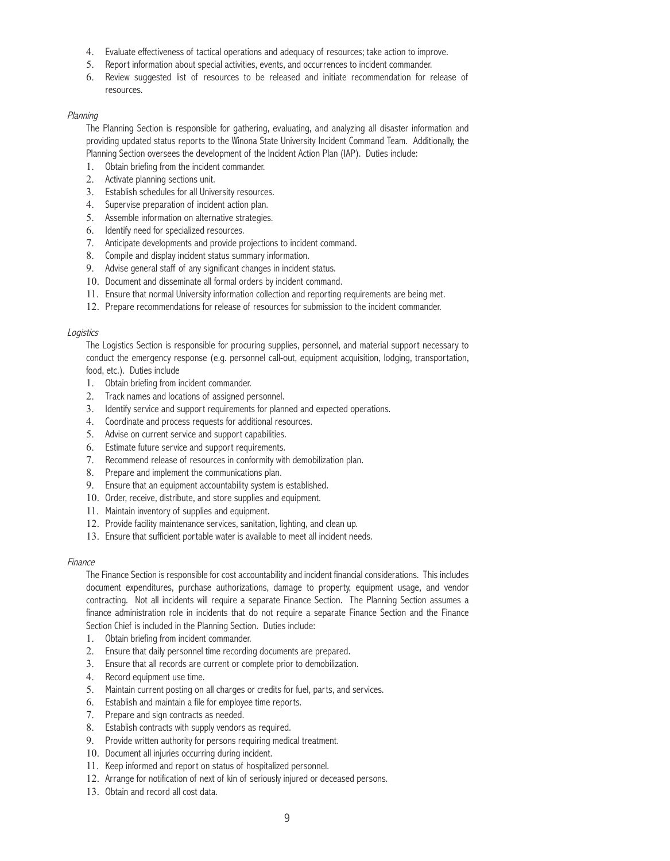- 4. Evaluate effectiveness of tactical operations and adequacy of resources; take action to improve.
- 5. Report information about special activities, events, and occurrences to incident commander.
- 6. Review suggested list of resources to be released and initiate recommendation for release of resources.

### Planning

The Planning Section is responsible for gathering, evaluating, and analyzing all disaster information and providing updated status reports to the Winona State University Incident Command Team. Additionally, the Planning Section oversees the development of the Incident Action Plan (IAP). Duties include:

- 1. Obtain briefing from the incident commander.
- 2. Activate planning sections unit.
- 3. Establish schedules for all University resources.
- 4. Supervise preparation of incident action plan.
- 5. Assemble information on alternative strategies.
- 6. Identify need for specialized resources.
- 7. Anticipate developments and provide projections to incident command.
- 8. Compile and display incident status summary information.
- 9. Advise general staff of any significant changes in incident status.
- 10. Document and disseminate all formal orders by incident command.
- 11. Ensure that normal University information collection and reporting requirements are being met.
- 12. Prepare recommendations for release of resources for submission to the incident commander.

### Logistics

The Logistics Section is responsible for procuring supplies, personnel, and material support necessary to conduct the emergency response (e.g. personnel call-out, equipment acquisition, lodging, transportation, food, etc.). Duties include

- 1. Obtain briefing from incident commander.
- 2. Track names and locations of assigned personnel.
- 3. Identify service and support requirements for planned and expected operations.
- 4. Coordinate and process requests for additional resources.
- 5. Advise on current service and support capabilities.
- 6. Estimate future service and support requirements.
- 7. Recommend release of resources in conformity with demobilization plan.
- 8. Prepare and implement the communications plan.
- 9. Ensure that an equipment accountability system is established.
- 10. Order, receive, distribute, and store supplies and equipment.
- 11. Maintain inventory of supplies and equipment.
- 12. Provide facility maintenance services, sanitation, lighting, and clean up.
- 13. Ensure that sufficient portable water is available to meet all incident needs.

#### Finance

The Finance Section is responsible for cost accountability and incident financial considerations. This includes document expenditures, purchase authorizations, damage to property, equipment usage, and vendor contracting. Not all incidents will require a separate Finance Section. The Planning Section assumes a finance administration role in incidents that do not require a separate Finance Section and the Finance Section Chief is included in the Planning Section. Duties include:

- 1. Obtain briefing from incident commander.
- 2. Ensure that daily personnel time recording documents are prepared.
- 3. Ensure that all records are current or complete prior to demobilization.
- 4. Record equipment use time.
- 5. Maintain current posting on all charges or credits for fuel, parts, and services.
- 6. Establish and maintain a file for employee time reports.
- 7. Prepare and sign contracts as needed.
- 8. Establish contracts with supply vendors as required.
- 9. Provide written authority for persons requiring medical treatment.
- 10. Document all injuries occurring during incident.
- 11. Keep informed and report on status of hospitalized personnel.
- 12. Arrange for notification of next of kin of seriously injured or deceased persons.
- 13. Obtain and record all cost data.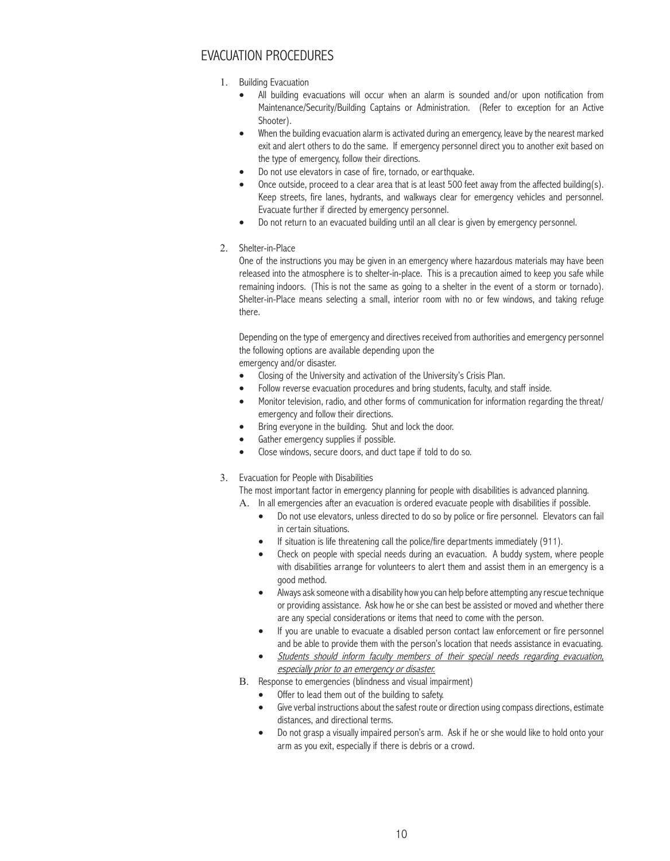# EVACUATION PROCEDURES

- 1. Building Evacuation
	- All building evacuations will occur when an alarm is sounded and/or upon notification from Maintenance/Security/Building Captains or Administration. (Refer to exception for an Active Shooter).
	- When the building evacuation alarm is activated during an emergency, leave by the nearest marked exit and alert others to do the same. If emergency personnel direct you to another exit based on the type of emergency, follow their directions.
	- Do not use elevators in case of fire, tornado, or earthquake.
	- Once outside, proceed to a clear area that is at least 500 feet away from the affected building(s). Keep streets, fire lanes, hydrants, and walkways clear for emergency vehicles and personnel. Evacuate further if directed by emergency personnel.
	- Do not return to an evacuated building until an all clear is given by emergency personnel.
- 2. Shelter-in-Place

One of the instructions you may be given in an emergency where hazardous materials may have been released into the atmosphere is to shelter-in-place. This is a precaution aimed to keep you safe while remaining indoors. (This is not the same as going to a shelter in the event of a storm or tornado). Shelter-in-Place means selecting a small, interior room with no or few windows, and taking refuge there.

Depending on the type of emergency and directives received from authorities and emergency personnel the following options are available depending upon the

emergency and/or disaster.

- Closing of the University and activation of the University's Crisis Plan.
- Follow reverse evacuation procedures and bring students, faculty, and staff inside.
- Monitor television, radio, and other forms of communication for information regarding the threat/ emergency and follow their directions.
- Bring everyone in the building. Shut and lock the door.
- Gather emergency supplies if possible.
- Close windows, secure doors, and duct tape if told to do so.
- 3. Evacuation for People with Disabilities

The most important factor in emergency planning for people with disabilities is advanced planning.

A. In all emergencies after an evacuation is ordered evacuate people with disabilities if possible.

- Do not use elevators, unless directed to do so by police or fire personnel. Elevators can fail in certain situations.
- If situation is life threatening call the police/fire departments immediately (911).
- Check on people with special needs during an evacuation. A buddy system, where people with disabilities arrange for volunteers to alert them and assist them in an emergency is a good method.
- Always ask someone with a disability how you can help before attempting any rescue technique or providing assistance. Ask how he or she can best be assisted or moved and whether there are any special considerations or items that need to come with the person.
- If you are unable to evacuate a disabled person contact law enforcement or fire personnel and be able to provide them with the person's location that needs assistance in evacuating.
- Students should inform faculty members of their special needs regarding evacuation, especially prior to an emergency or disaster.
- B. Response to emergencies (blindness and visual impairment)
	- • Offer to lead them out of the building to safety.
	- Give verbal instructions about the safest route or direction using compass directions, estimate distances, and directional terms.
	- Do not grasp a visually impaired person's arm. Ask if he or she would like to hold onto your arm as you exit, especially if there is debris or a crowd.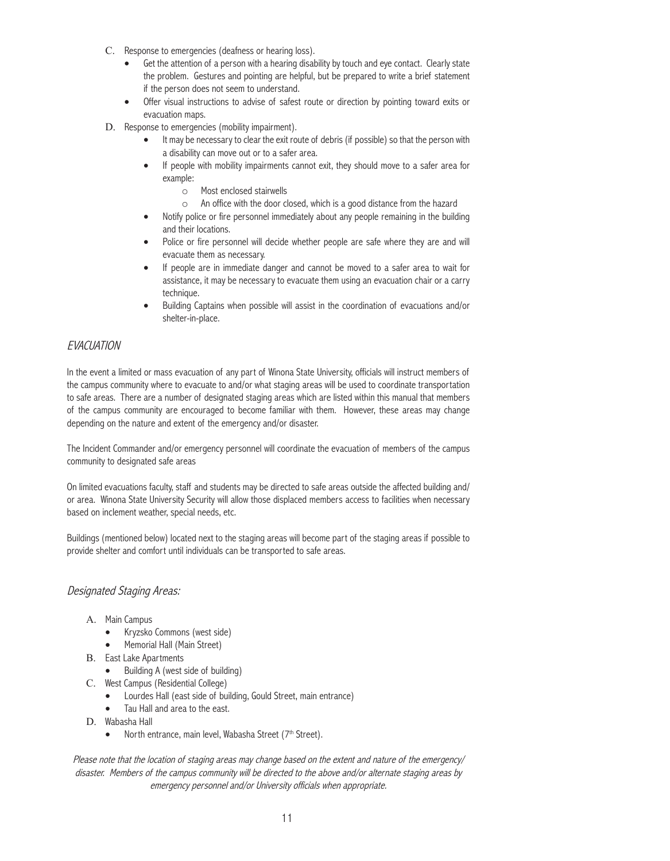- C. Response to emergencies (deafness or hearing loss).
	- Get the attention of a person with a hearing disability by touch and eye contact. Clearly state the problem. Gestures and pointing are helpful, but be prepared to write a brief statement if the person does not seem to understand.
	- Offer visual instructions to advise of safest route or direction by pointing toward exits or evacuation maps.
- D. Response to emergencies (mobility impairment).
	- It may be necessary to clear the exit route of debris (if possible) so that the person with a disability can move out or to a safer area.
	- If people with mobility impairments cannot exit, they should move to a safer area for example:
		- o Most enclosed stairwells
		- o An office with the door closed, which is a good distance from the hazard
	- Notify police or fire personnel immediately about any people remaining in the building and their locations.
	- Police or fire personnel will decide whether people are safe where they are and will evacuate them as necessary.
	- If people are in immediate danger and cannot be moved to a safer area to wait for assistance, it may be necessary to evacuate them using an evacuation chair or a carry technique.
	- Building Captains when possible will assist in the coordination of evacuations and/or shelter-in-place.

## **EVACUATION**

In the event a limited or mass evacuation of any part of Winona State University, officials will instruct members of the campus community where to evacuate to and/or what staging areas will be used to coordinate transportation to safe areas. There are a number of designated staging areas which are listed within this manual that members of the campus community are encouraged to become familiar with them. However, these areas may change depending on the nature and extent of the emergency and/or disaster.

The Incident Commander and/or emergency personnel will coordinate the evacuation of members of the campus community to designated safe areas

On limited evacuations faculty, staff and students may be directed to safe areas outside the affected building and/ or area. Winona State University Security will allow those displaced members access to facilities when necessary based on inclement weather, special needs, etc.

Buildings (mentioned below) located next to the staging areas will become part of the staging areas if possible to provide shelter and comfort until individuals can be transported to safe areas.

## Designated Staging Areas:

- A. Main Campus
	- Kryzsko Commons (west side)
	- Memorial Hall (Main Street)
- B. East Lake Apartments
	- Building A (west side of building)
- C. West Campus (Residential College)
	- Lourdes Hall (east side of building, Gould Street, main entrance)
	- Tau Hall and area to the east.
- D. Wabasha Hall
	- North entrance, main level, Wabasha Street (7<sup>th</sup> Street).

Please note that the location of staging areas may change based on the extent and nature of the emergency/ disaster. Members of the campus community will be directed to the above and/or alternate staging areas by emergency personnel and/or University officials when appropriate.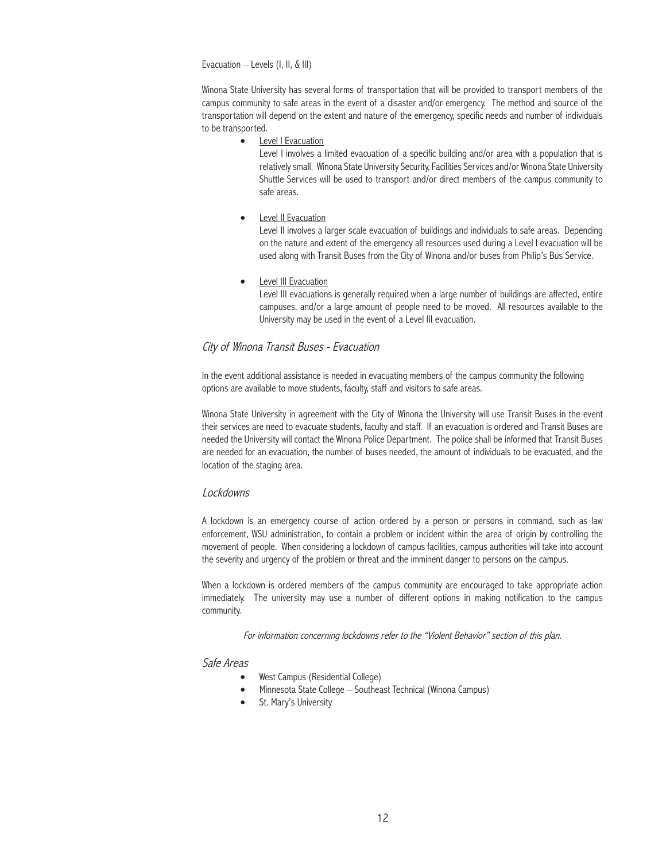Evacuation – Levels (I, II, & III)

Winona State University has several forms of transportation that will be provided to transport members of the campus community to safe areas in the event of a disaster and/or emergency. The method and source of the transportation will depend on the extent and nature of the emergency, specific needs and number of individuals to be transported.

• Level I Evacuation

Level I involves a limited evacuation of a specific building and/or area with a population that is relatively small. Winona State University Security, Facilities Services and/or Winona State University Shuttle Services will be used to transport and/or direct members of the campus community to safe areas.

**Level II Evacuation** 

Level II involves a larger scale evacuation of buildings and individuals to safe areas. Depending on the nature and extent of the emergency all resources used during a Level I evacuation will be used along with Transit Buses from the City of Winona and/or buses from Philip's Bus Service.

**Level III Evacuation** 

Level III evacuations is generally required when a large number of buildings are affected, entire campuses, and/or a large amount of people need to be moved. All resources available to the University may be used in the event of a Level III evacuation.

## City of Winona Transit Buses - Evacuation

In the event additional assistance is needed in evacuating members of the campus community the following options are available to move students, faculty, staff and visitors to safe areas.

Winona State University in agreement with the City of Winona the University will use Transit Buses in the event their services are need to evacuate students, faculty and staff. If an evacuation is ordered and Transit Buses are needed the University will contact the Winona Police Department. The police shall be informed that Transit Buses are needed for an evacuation, the number of buses needed, the amount of individuals to be evacuated, and the location of the staging area.

### Lockdowns

A lockdown is an emergency course of action ordered by a person or persons in command, such as law enforcement, WSU administration, to contain a problem or incident within the area of origin by controlling the movement of people. When considering a lockdown of campus facilities, campus authorities will take into account the severity and urgency of the problem or threat and the imminent danger to persons on the campus.

When a lockdown is ordered members of the campus community are encouraged to take appropriate action immediately. The university may use a number of different options in making notification to the campus community.

For information concerning lockdowns refer to the "Violent Behavior" section of this plan.

### Safe Areas

- West Campus (Residential College)
- Minnesota State College Southeast Technical (Winona Campus)
- St. Mary's University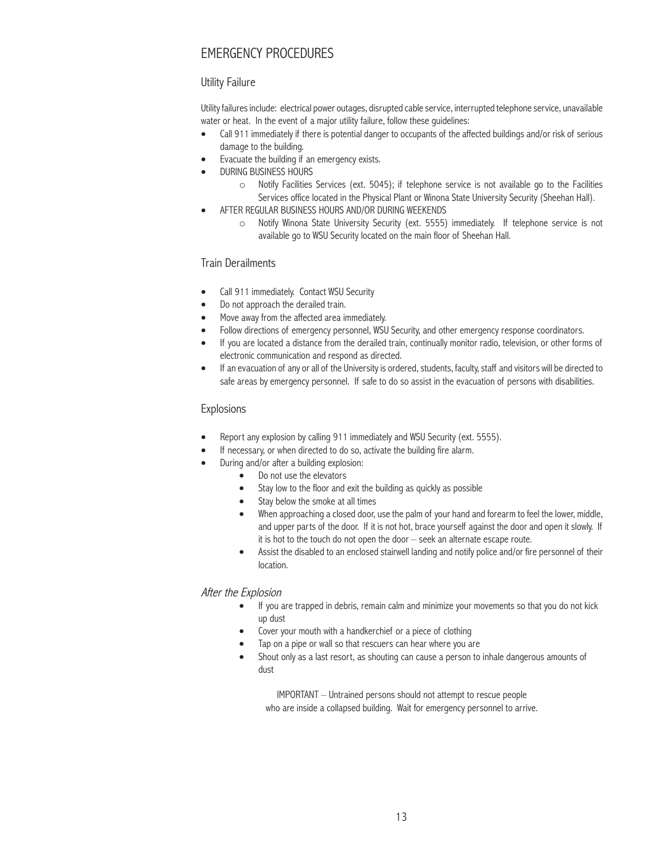# EMERGENCY PROCEDURES

## Utility Failure

Utility failures include: electrical power outages, disrupted cable service, interrupted telephone service, unavailable water or heat. In the event of a major utility failure, follow these guidelines:

- Call 911 immediately if there is potential danger to occupants of the affected buildings and/or risk of serious damage to the building.
- Evacuate the building if an emergency exists.
- **DURING BUSINESS HOURS** 
	- o Notify Facilities Services (ext. 5045); if telephone service is not available go to the Facilities Services office located in the Physical Plant or Winona State University Security (Sheehan Hall).
	- AFTER REGULAR BUSINESS HOURS AND/OR DURING WEEKENDS
		- o Notify Winona State University Security (ext. 5555) immediately. If telephone service is not available go to WSU Security located on the main floor of Sheehan Hall.

# Train Derailments

- Call 911 immediately. Contact WSU Security
- Do not approach the derailed train.
- Move away from the affected area immediately.
- Follow directions of emergency personnel, WSU Security, and other emergency response coordinators.
- If you are located a distance from the derailed train, continually monitor radio, television, or other forms of electronic communication and respond as directed.
- If an evacuation of any or all of the University is ordered, students, faculty, staff and visitors will be directed to safe areas by emergency personnel. If safe to do so assist in the evacuation of persons with disabilities.

## Explosions

- Report any explosion by calling 911 immediately and WSU Security (ext. 5555).
- If necessary, or when directed to do so, activate the building fire alarm.
- During and/or after a building explosion:
	- Do not use the elevators
	- Stay low to the floor and exit the building as quickly as possible
	- Stay below the smoke at all times
	- When approaching a closed door, use the palm of your hand and forearm to feel the lower, middle, and upper parts of the door. If it is not hot, brace yourself against the door and open it slowly. If it is hot to the touch do not open the door – seek an alternate escape route.
	- Assist the disabled to an enclosed stairwell landing and notify police and/or fire personnel of their location.

## After the Explosion

- If you are trapped in debris, remain calm and minimize your movements so that you do not kick up dust
- Cover your mouth with a handkerchief or a piece of clothing
- Tap on a pipe or wall so that rescuers can hear where you are
- Shout only as a last resort, as shouting can cause a person to inhale dangerous amounts of dust

IMPORTANT – Untrained persons should not attempt to rescue people who are inside a collapsed building. Wait for emergency personnel to arrive.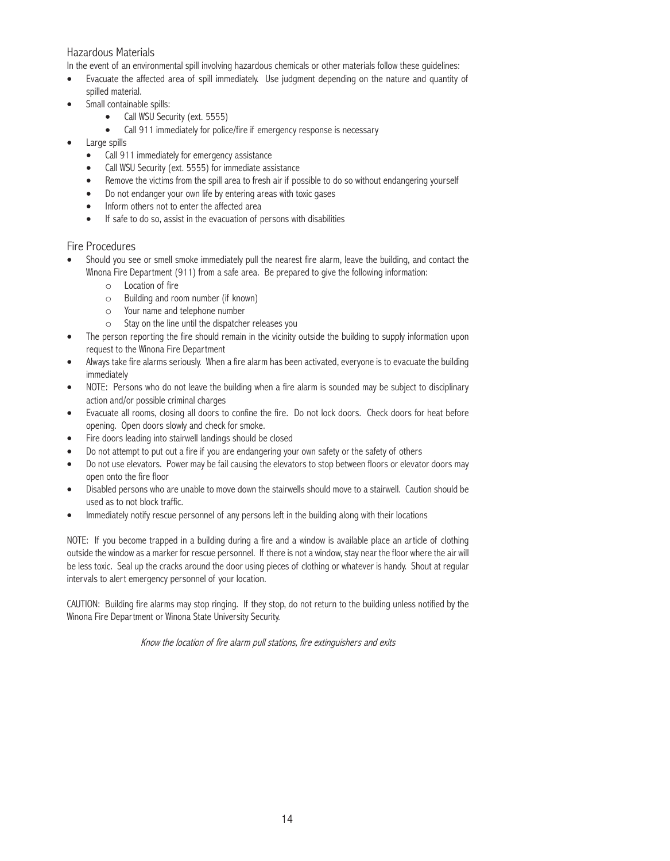## Hazardous Materials

In the event of an environmental spill involving hazardous chemicals or other materials follow these guidelines:

- Evacuate the affected area of spill immediately. Use judgment depending on the nature and quantity of spilled material.
- Small containable spills:
	- Call WSU Security (ext. 5555)
	- Call 911 immediately for police/fire if emergency response is necessary
- Large spills
	- Call 911 immediately for emergency assistance
	- Call WSU Security (ext. 5555) for immediate assistance
	- Remove the victims from the spill area to fresh air if possible to do so without endangering yourself
	- Do not endanger your own life by entering areas with toxic gases
	- Inform others not to enter the affected area
	- If safe to do so, assist in the evacuation of persons with disabilities

## Fire Procedures

- Should you see or smell smoke immediately pull the nearest fire alarm, leave the building, and contact the Winona Fire Department (911) from a safe area. Be prepared to give the following information:
	- o Location of fire
	- o Building and room number (if known)
	- o Your name and telephone number
	- o Stay on the line until the dispatcher releases you
- The person reporting the fire should remain in the vicinity outside the building to supply information upon request to the Winona Fire Department
- Always take fire alarms seriously. When a fire alarm has been activated, everyone is to evacuate the building immediately
- NOTE: Persons who do not leave the building when a fire alarm is sounded may be subject to disciplinary action and/or possible criminal charges
- Evacuate all rooms, closing all doors to confine the fire. Do not lock doors. Check doors for heat before opening. Open doors slowly and check for smoke.
- Fire doors leading into stairwell landings should be closed
- Do not attempt to put out a fire if you are endangering your own safety or the safety of others
- Do not use elevators. Power may be fail causing the elevators to stop between floors or elevator doors may open onto the fire floor
- • Disabled persons who are unable to move down the stairwells should move to a stairwell. Caution should be used as to not block traffic.
- Immediately notify rescue personnel of any persons left in the building along with their locations

NOTE: If you become trapped in a building during a fire and a window is available place an article of clothing outside the window as a marker for rescue personnel. If there is not a window, stay near the floor where the air will be less toxic. Seal up the cracks around the door using pieces of clothing or whatever is handy. Shout at regular intervals to alert emergency personnel of your location.

CAUTION: Building fire alarms may stop ringing. If they stop, do not return to the building unless notified by the Winona Fire Department or Winona State University Security.

Know the location of fire alarm pull stations, fire extinguishers and exits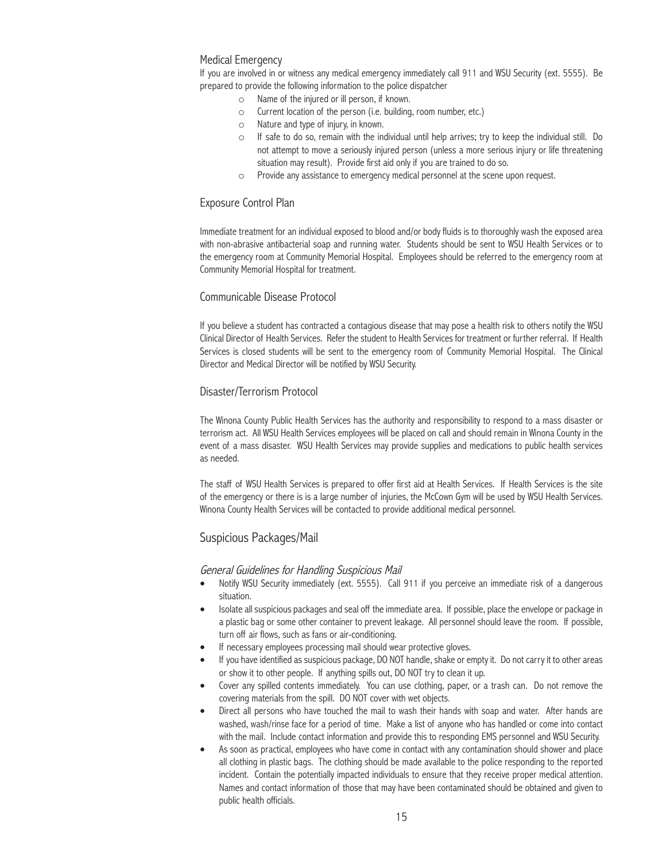## Medical Emergency

If you are involved in or witness any medical emergency immediately call 911 and WSU Security (ext. 5555). Be prepared to provide the following information to the police dispatcher

- o Name of the injured or ill person, if known.
- o Current location of the person (i.e. building, room number, etc.)
- o Nature and type of injury, in known.
- o If safe to do so, remain with the individual until help arrives; try to keep the individual still. Do not attempt to move a seriously injured person (unless a more serious injury or life threatening situation may result). Provide first aid only if you are trained to do so.
- o Provide any assistance to emergency medical personnel at the scene upon request.

### Exposure Control Plan

Immediate treatment for an individual exposed to blood and/or body fluids is to thoroughly wash the exposed area with non-abrasive antibacterial soap and running water. Students should be sent to WSU Health Services or to the emergency room at Community Memorial Hospital. Employees should be referred to the emergency room at Community Memorial Hospital for treatment.

## Communicable Disease Protocol

If you believe a student has contracted a contagious disease that may pose a health risk to others notify the WSU Clinical Director of Health Services. Refer the student to Health Services for treatment or further referral. If Health Services is closed students will be sent to the emergency room of Community Memorial Hospital. The Clinical Director and Medical Director will be notified by WSU Security.

## Disaster/Terrorism Protocol

The Winona County Public Health Services has the authority and responsibility to respond to a mass disaster or terrorism act. All WSU Health Services employees will be placed on call and should remain in Winona County in the event of a mass disaster. WSU Health Services may provide supplies and medications to public health services as needed.

The staff of WSU Health Services is prepared to offer first aid at Health Services. If Health Services is the site of the emergency or there is is a large number of injuries, the McCown Gym will be used by WSU Health Services. Winona County Health Services will be contacted to provide additional medical personnel.

## Suspicious Packages/Mail

### General Guidelines for Handling Suspicious Mail

- Notify WSU Security immediately (ext. 5555). Call 911 if you perceive an immediate risk of a dangerous situation.
- Isolate all suspicious packages and seal off the immediate area. If possible, place the envelope or package in a plastic bag or some other container to prevent leakage. All personnel should leave the room. If possible, turn off air flows, such as fans or air-conditioning.
- If necessary employees processing mail should wear protective gloves.
- If you have identified as suspicious package, DO NOT handle, shake or empty it. Do not carry it to other areas or show it to other people. If anything spills out, DO NOT try to clean it up.
- Cover any spilled contents immediately. You can use clothing, paper, or a trash can. Do not remove the covering materials from the spill. DO NOT cover with wet objects.
- Direct all persons who have touched the mail to wash their hands with soap and water. After hands are washed, wash/rinse face for a period of time. Make a list of anyone who has handled or come into contact with the mail. Include contact information and provide this to responding EMS personnel and WSU Security.
- As soon as practical, employees who have come in contact with any contamination should shower and place all clothing in plastic bags. The clothing should be made available to the police responding to the reported incident. Contain the potentially impacted individuals to ensure that they receive proper medical attention. Names and contact information of those that may have been contaminated should be obtained and given to public health officials.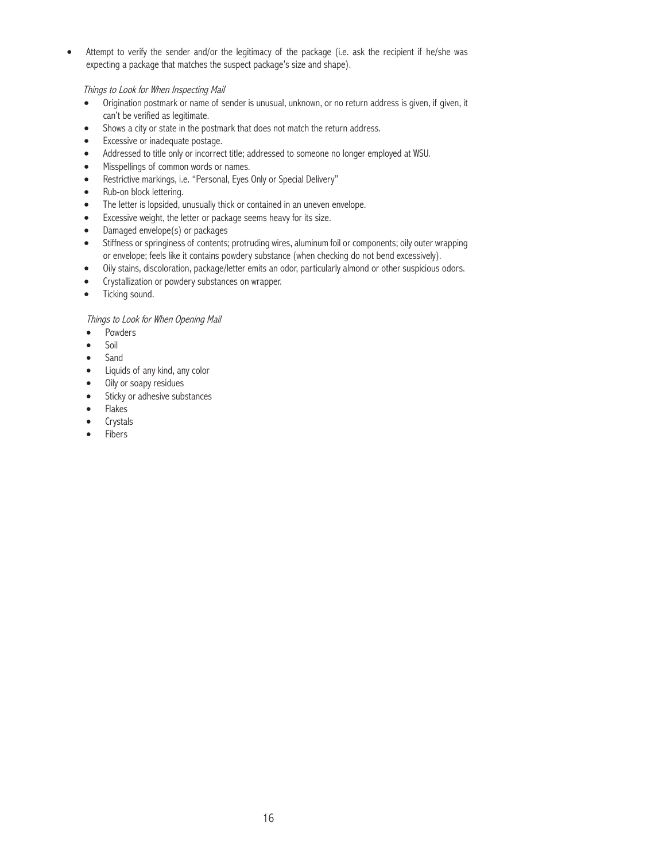• Attempt to verify the sender and/or the legitimacy of the package (i.e. ask the recipient if he/she was expecting a package that matches the suspect package's size and shape).

Things to Look for When Inspecting Mail

- Origination postmark or name of sender is unusual, unknown, or no return address is given, if given, it can't be verified as legitimate.
- Shows a city or state in the postmark that does not match the return address.
- Excessive or inadequate postage.
- Addressed to title only or incorrect title; addressed to someone no longer employed at WSU.
- • Misspellings of common words or names.
- Restrictive markings, i.e. "Personal, Eyes Only or Special Delivery"
- Rub-on block lettering.
- The letter is lopsided, unusually thick or contained in an uneven envelope.
- Excessive weight, the letter or package seems heavy for its size.
- Damaged envelope(s) or packages
- Stiffness or springiness of contents; protruding wires, aluminum foil or components; oily outer wrapping or envelope; feels like it contains powdery substance (when checking do not bend excessively).
- Oily stains, discoloration, package/letter emits an odor, particularly almond or other suspicious odors.
- Crystallization or powdery substances on wrapper.
- Ticking sound.

Things to Look for When Opening Mail

- Powders
- Soil
- Sand
- Liquids of any kind, any color
- Oily or soapy residues
- Sticky or adhesive substances
- **Flakes**
- **Crystals**
- **Fibers**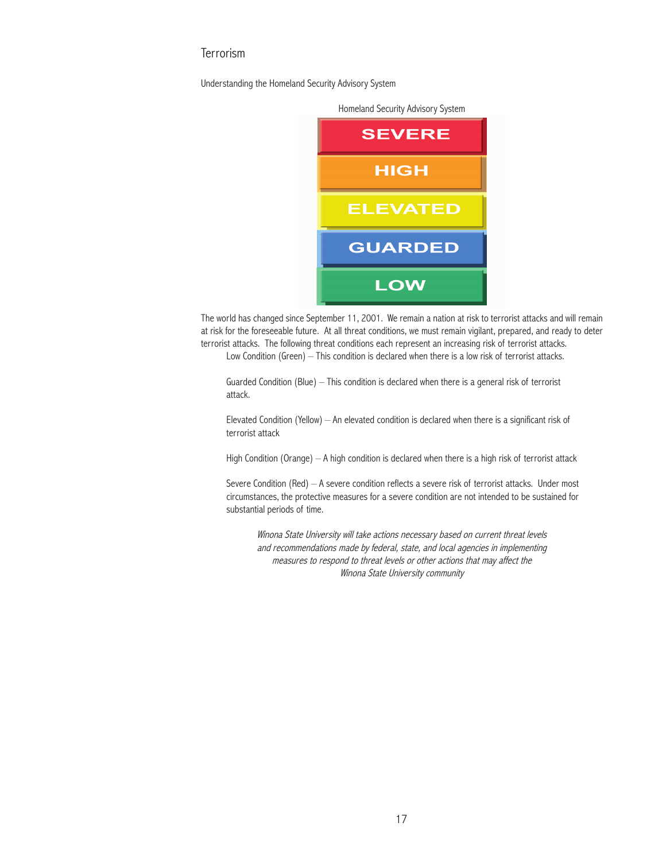# **Terrorism**

Understanding the Homeland Security Advisory System



The world has changed since September 11, 2001. We remain a nation at risk to terrorist attacks and will remain at risk for the foreseeable future. At all threat conditions, we must remain vigilant, prepared, and ready to deter terrorist attacks. The following threat conditions each represent an increasing risk of terrorist attacks.

Low Condition (Green) – This condition is declared when there is a low risk of terrorist attacks.

Guarded Condition (Blue) – This condition is declared when there is a general risk of terrorist attack.

Elevated Condition (Yellow) – An elevated condition is declared when there is a significant risk of terrorist attack

High Condition (Orange) – A high condition is declared when there is a high risk of terrorist attack

Severe Condition (Red) – A severe condition reflects a severe risk of terrorist attacks. Under most circumstances, the protective measures for a severe condition are not intended to be sustained for substantial periods of time.

Winona State University will take actions necessary based on current threat levels and recommendations made by federal, state, and local agencies in implementing measures to respond to threat levels or other actions that may affect the Winona State University community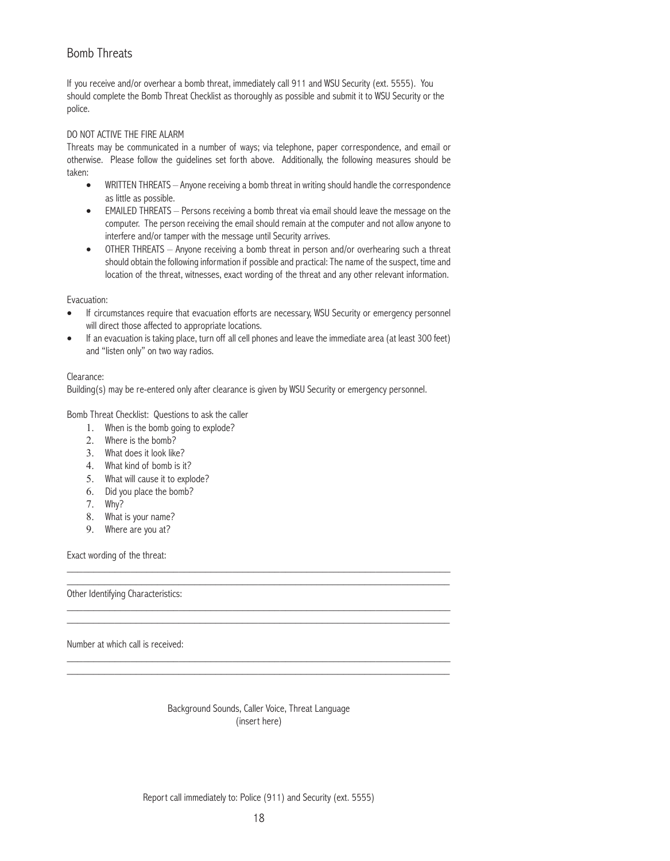# Bomb Threats

If you receive and/or overhear a bomb threat, immediately call 911 and WSU Security (ext. 5555). You should complete the Bomb Threat Checklist as thoroughly as possible and submit it to WSU Security or the police.

## DO NOT ACTIVE THE FIRE ALARM

Threats may be communicated in a number of ways; via telephone, paper correspondence, and email or otherwise. Please follow the guidelines set forth above. Additionally, the following measures should be taken:

- WRITTEN THREATS Anyone receiving a bomb threat in writing should handle the correspondence as little as possible.
- EMAILED THREATS Persons receiving a bomb threat via email should leave the message on the computer. The person receiving the email should remain at the computer and not allow anyone to interfere and/or tamper with the message until Security arrives.
- OTHER THREATS Anyone receiving a bomb threat in person and/or overhearing such a threat should obtain the following information if possible and practical: The name of the suspect, time and location of the threat, witnesses, exact wording of the threat and any other relevant information.

## Evacuation:

- If circumstances require that evacuation efforts are necessary, WSU Security or emergency personnel will direct those affected to appropriate locations.
- If an evacuation is taking place, turn off all cell phones and leave the immediate area (at least 300 feet) and "listen only" on two way radios.

## Clearance:

Building(s) may be re-entered only after clearance is given by WSU Security or emergency personnel.

Bomb Threat Checklist: Questions to ask the caller

- 1. When is the bomb going to explode?
- 2. Where is the bomb?
- 3. What does it look like?
- 4. What kind of bomb is it?
- 5. What will cause it to explode?
- 6. Did you place the bomb?
- 7. Why?
- 8. What is your name?
- 9. Where are you at?

Exact wording of the threat:

Other Identifying Characteristics:

Number at which call is received:

Background Sounds, Caller Voice, Threat Language (insert here)

\_\_\_\_\_\_\_\_\_\_\_\_\_\_\_\_\_\_\_\_\_\_\_\_\_\_\_\_\_\_\_\_\_\_\_\_\_\_\_\_\_\_\_\_\_\_\_\_\_\_\_\_\_\_\_\_\_\_\_\_\_\_\_\_\_\_\_\_\_\_\_\_ \_\_\_\_\_\_\_\_\_\_\_\_\_\_\_\_\_\_\_\_\_\_\_\_\_\_\_\_\_\_\_\_\_\_\_\_\_\_\_\_\_\_\_\_\_\_\_\_\_\_\_\_\_\_\_\_\_\_\_\_\_\_\_\_\_\_\_\_\_\_\_\_

\_\_\_\_\_\_\_\_\_\_\_\_\_\_\_\_\_\_\_\_\_\_\_\_\_\_\_\_\_\_\_\_\_\_\_\_\_\_\_\_\_\_\_\_\_\_\_\_\_\_\_\_\_\_\_\_\_\_\_\_\_\_\_\_\_\_\_\_\_\_\_\_ \_\_\_\_\_\_\_\_\_\_\_\_\_\_\_\_\_\_\_\_\_\_\_\_\_\_\_\_\_\_\_\_\_\_\_\_\_\_\_\_\_\_\_\_\_\_\_\_\_\_\_\_\_\_\_\_\_\_\_\_\_\_\_\_\_\_\_\_\_\_\_\_

\_\_\_\_\_\_\_\_\_\_\_\_\_\_\_\_\_\_\_\_\_\_\_\_\_\_\_\_\_\_\_\_\_\_\_\_\_\_\_\_\_\_\_\_\_\_\_\_\_\_\_\_\_\_\_\_\_\_\_\_\_\_\_\_\_\_\_\_\_\_\_\_ \_\_\_\_\_\_\_\_\_\_\_\_\_\_\_\_\_\_\_\_\_\_\_\_\_\_\_\_\_\_\_\_\_\_\_\_\_\_\_\_\_\_\_\_\_\_\_\_\_\_\_\_\_\_\_\_\_\_\_\_\_\_\_\_\_\_\_\_\_\_\_\_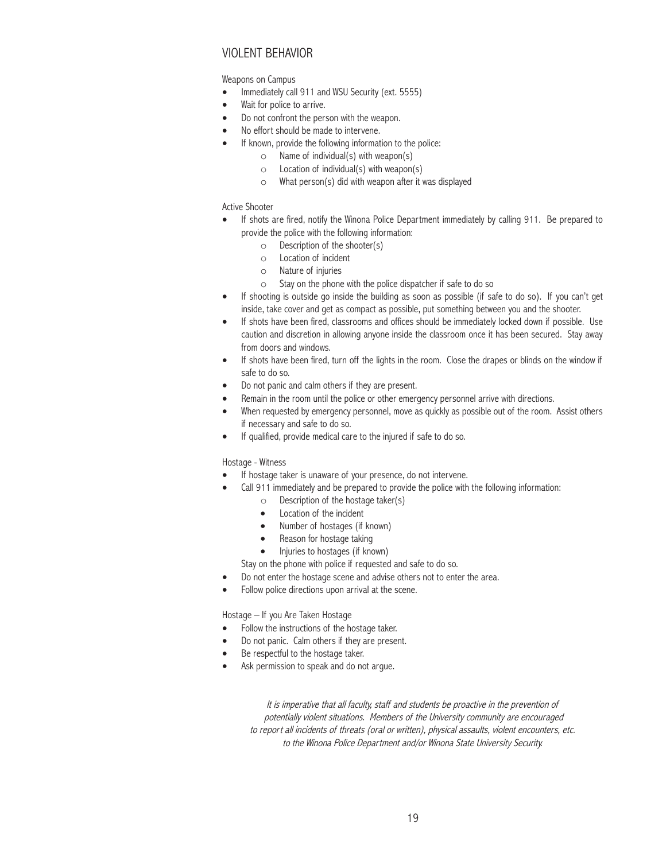# Violent Behavior

Weapons on Campus

- Immediately call 911 and WSU Security (ext. 5555)
- Wait for police to arrive.
- Do not confront the person with the weapon.
- No effort should be made to intervene.
- If known, provide the following information to the police:
	- $\circ$  Name of individual(s) with weapon(s)
	- $\circ$  Location of individual(s) with weapon(s)
	- o What person(s) did with weapon after it was displayed

### Active Shooter

- If shots are fired, notify the Winona Police Department immediately by calling 911. Be prepared to provide the police with the following information:
	- o Description of the shooter(s)
	- o Location of incident
	- o Nature of injuries
	- o Stay on the phone with the police dispatcher if safe to do so
- If shooting is outside go inside the building as soon as possible (if safe to do so). If you can't get inside, take cover and get as compact as possible, put something between you and the shooter.
- If shots have been fired, classrooms and offices should be immediately locked down if possible. Use caution and discretion in allowing anyone inside the classroom once it has been secured. Stay away from doors and windows.
- If shots have been fired, turn off the lights in the room. Close the drapes or blinds on the window if safe to do so.
- Do not panic and calm others if they are present.
- Remain in the room until the police or other emergency personnel arrive with directions.
- When requested by emergency personnel, move as quickly as possible out of the room. Assist others if necessary and safe to do so.
- If qualified, provide medical care to the injured if safe to do so.

#### Hostage - Witness

- If hostage taker is unaware of your presence, do not intervene.
- Call 911 immediately and be prepared to provide the police with the following information:
	- o Description of the hostage taker(s)
	- Location of the incident
	- Number of hostages (if known)
	- Reason for hostage taking
	- Injuries to hostages (if known)

Stay on the phone with police if requested and safe to do so.

- Do not enter the hostage scene and advise others not to enter the area.
- Follow police directions upon arrival at the scene.

Hostage – If you Are Taken Hostage

- Follow the instructions of the hostage taker.
- Do not panic. Calm others if they are present.
- Be respectful to the hostage taker.
- Ask permission to speak and do not argue.

It is imperative that all faculty, staff and students be proactive in the prevention of potentially violent situations. Members of the University community are encouraged to report all incidents of threats (oral or written), physical assaults, violent encounters, etc. to the Winona Police Department and/or Winona State University Security.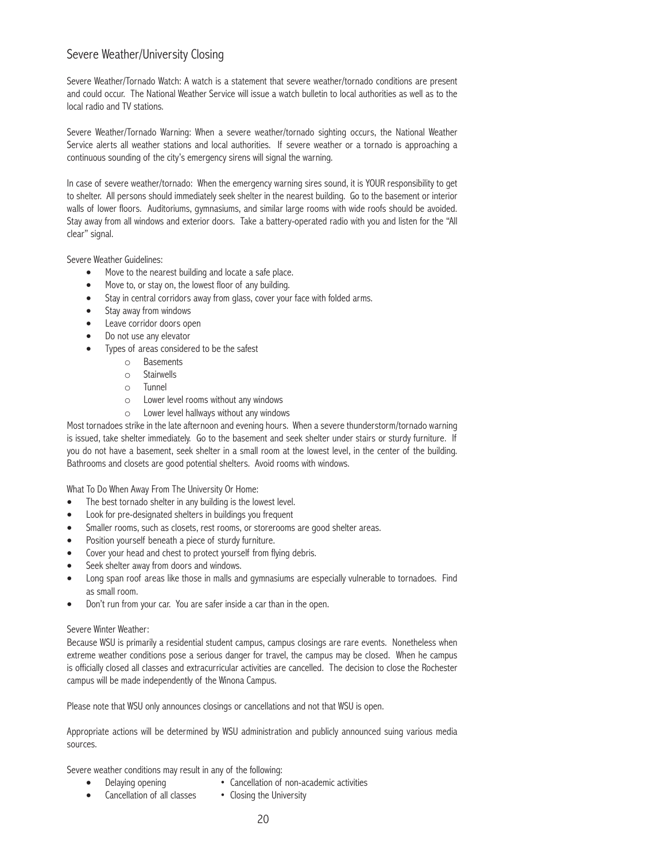# Severe Weather/University Closing

Severe Weather/Tornado Watch: A watch is a statement that severe weather/tornado conditions are present and could occur. The National Weather Service will issue a watch bulletin to local authorities as well as to the local radio and TV stations.

Severe Weather/Tornado Warning: When a severe weather/tornado sighting occurs, the National Weather Service alerts all weather stations and local authorities. If severe weather or a tornado is approaching a continuous sounding of the city's emergency sirens will signal the warning.

In case of severe weather/tornado: When the emergency warning sires sound, it is YOUR responsibility to get to shelter. All persons should immediately seek shelter in the nearest building. Go to the basement or interior walls of lower floors. Auditoriums, gymnasiums, and similar large rooms with wide roofs should be avoided. Stay away from all windows and exterior doors. Take a battery-operated radio with you and listen for the "All clear" signal.

Severe Weather Guidelines:

- Move to the nearest building and locate a safe place.
- Move to, or stay on, the lowest floor of any building.
- Stay in central corridors away from glass, cover your face with folded arms.
- Stay away from windows
- Leave corridor doors open
- Do not use any elevator
- Types of areas considered to be the safest
	- o Basements
	- o Stairwells
	- o Tunnel
	- o Lower level rooms without any windows
	- o Lower level hallways without any windows

Most tornadoes strike in the late afternoon and evening hours. When a severe thunderstorm/tornado warning is issued, take shelter immediately. Go to the basement and seek shelter under stairs or sturdy furniture. If you do not have a basement, seek shelter in a small room at the lowest level, in the center of the building. Bathrooms and closets are good potential shelters. Avoid rooms with windows.

What To Do When Away From The University Or Home:

- The best tornado shelter in any building is the lowest level.
- Look for pre-designated shelters in buildings you frequent
- Smaller rooms, such as closets, rest rooms, or storerooms are good shelter areas.
- Position yourself beneath a piece of sturdy furniture.
- Cover your head and chest to protect yourself from flying debris.
- Seek shelter away from doors and windows.
- Long span roof areas like those in malls and gymnasiums are especially vulnerable to tornadoes. Find as small room.
- Don't run from your car. You are safer inside a car than in the open.

### Severe Winter Weather:

Because WSU is primarily a residential student campus, campus closings are rare events. Nonetheless when extreme weather conditions pose a serious danger for travel, the campus may be closed. When he campus is officially closed all classes and extracurricular activities are cancelled. The decision to close the Rochester campus will be made independently of the Winona Campus.

Please note that WSU only announces closings or cancellations and not that WSU is open.

Appropriate actions will be determined by WSU administration and publicly announced suing various media sources.

Severe weather conditions may result in any of the following:

- Delaying opening Cancellation of non-academic activities
- Cancellation of all classes Closing the University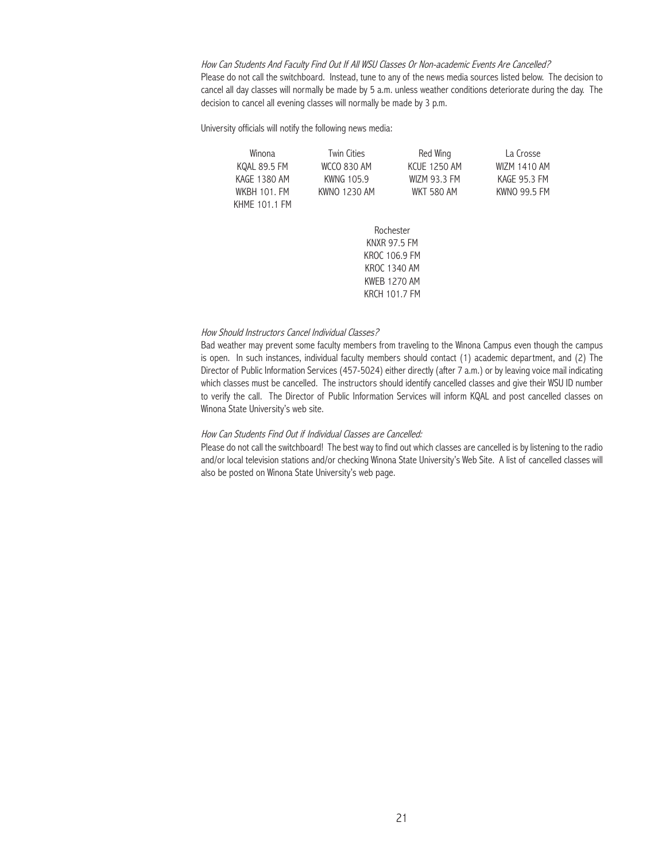How Can Students And Faculty Find Out If All WSU Classes Or Non-academic Events Are Cancelled? Please do not call the switchboard. Instead, tune to any of the news media sources listed below. The decision to cancel all day classes will normally be made by 5 a.m. unless weather conditions deteriorate during the day. The decision to cancel all evening classes will normally be made by 3 p.m.

University officials will notify the following news media:

| Winona        | <b>Twin Cities</b> | Red Wing            | La Crosse           |
|---------------|--------------------|---------------------|---------------------|
| KOAL 89.5 FM  | WCCO 830 AM        | <b>KCUF 1250 AM</b> | <b>WIZM 1410 AM</b> |
| KAGE 1380 AM  | KWNG 105.9         | WIZM 93.3 FM        | KAGF 95.3 FM        |
| WKBH 101. FM  | KWNO 1230 AM       | WKT 580 AM          | KWNO 99.5 FM        |
| KHMF 101.1 FM |                    |                     |                     |
|               |                    |                     |                     |

Rochester KNXR 97.5 FM KROC 106.9 FM KROC 1340 AM KWEB 1270 AM KRCH 101.7 FM

#### How Should Instructors Cancel Individual Classes?

Bad weather may prevent some faculty members from traveling to the Winona Campus even though the campus is open. In such instances, individual faculty members should contact (1) academic department, and (2) The Director of Public Information Services (457-5024) either directly (after 7 a.m.) or by leaving voice mail indicating which classes must be cancelled. The instructors should identify cancelled classes and give their WSU ID number to verify the call. The Director of Public Information Services will inform KQAL and post cancelled classes on Winona State University's web site.

### How Can Students Find Out if Individual Classes are Cancelled:

Please do not call the switchboard! The best way to find out which classes are cancelled is by listening to the radio and/or local television stations and/or checking Winona State University's Web Site. A list of cancelled classes will also be posted on Winona State University's web page.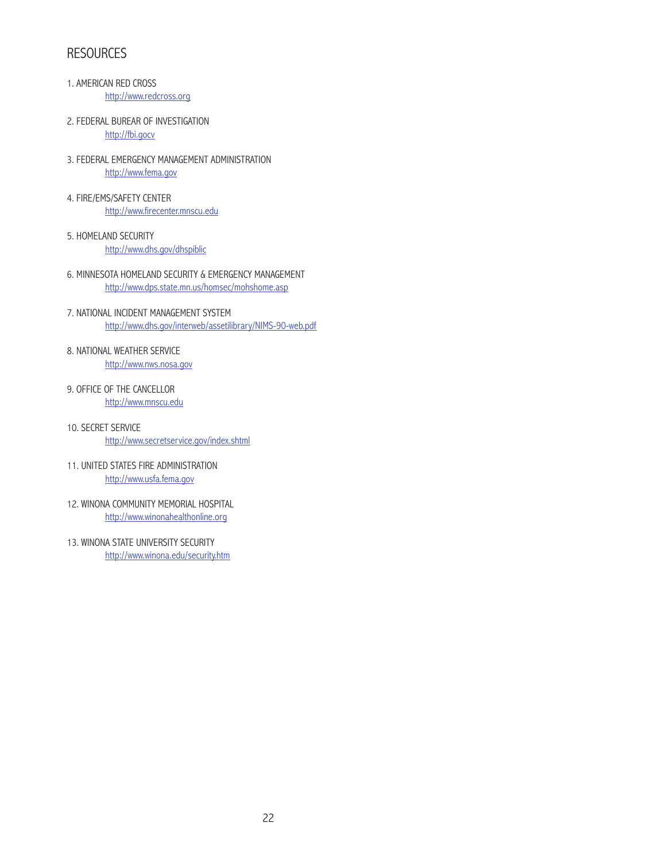# **RESOURCES**

- 1. AMERICAN RED CROSS http://www.redcross.org
- 2. FEDERAL BUREAR OF INVESTIGATION http://fbi.gocv
- 3. FEDERAL EMERGENCY MANAGEMENT ADMINISTRATION http://www.fema.gov
- 4. FIRE/EMS/SAFETY CENTER http://www.firecenter.mnscu.edu
- 5. HOMELAND SECURITY http://www.dhs.gov/dhspiblic
- 6. MINNESOTA HOMELAND SECURITY & EMERGENCY MANAGEMENT http://www.dps.state.mn.us/homsec/mohshome.asp
- 7. NATIONAL INCIDENT MANAGEMENT SYSTEM http://www.dhs.gov/interweb/assetilibrary/NIMS-90-web.pdf
- 8. NATIONAL WEATHER SERVICE http://www.nws.nosa.gov
- 9. OFFICE OF THE CANCELLOR http://www.mnscu.edu
- 10. SECRET SERVICE http://www.secretservice.gov/index.shtml
- 11. UNITED STATES FIRE ADMINISTRATION http://www.usfa.fema.gov
- 12. WINONA COMMUNITY MEMORIAL HOSPITAL http://www.winonahealthonline.org
- 13. WINONA STATE UNIVERSITY SECURITY http://www.winona.edu/security.htm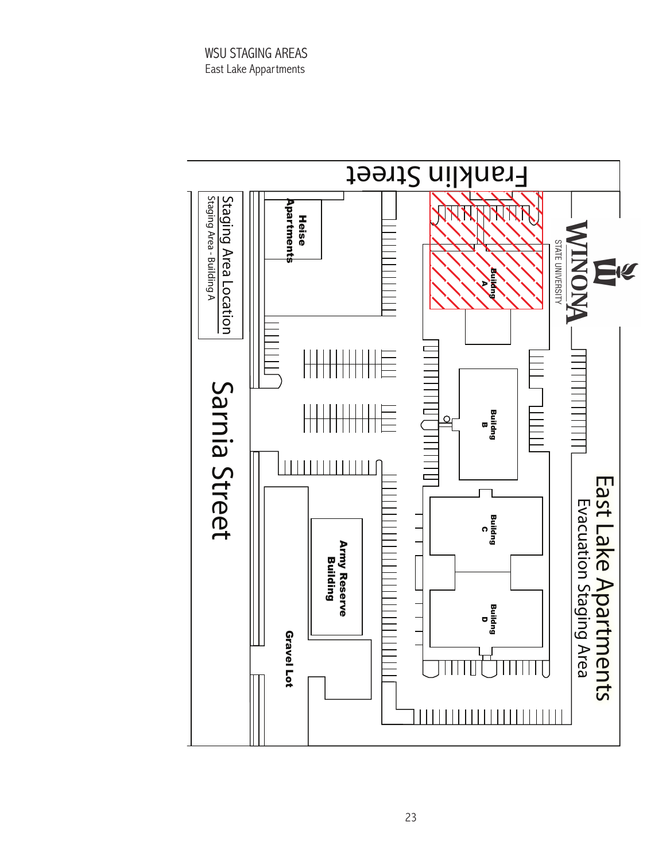WSU STAGING AREAS East Lake Appartments

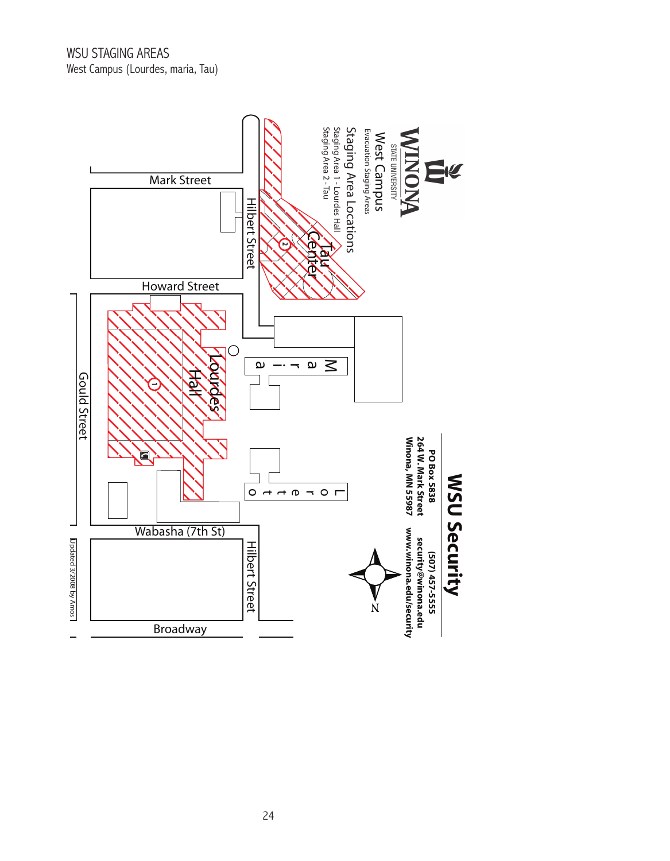

24